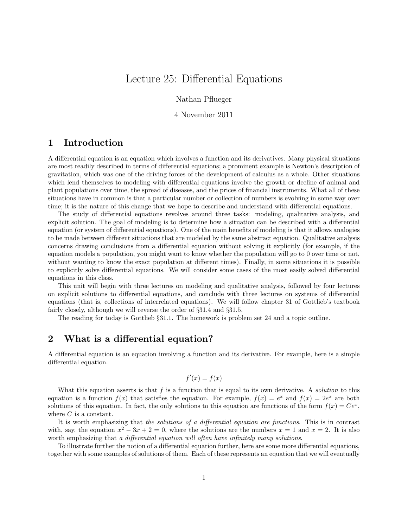# Lecture 25: Differential Equations

Nathan Pflueger

#### 4 November 2011

# 1 Introduction

A differential equation is an equation which involves a function and its derivatives. Many physical situations are most readily described in terms of differential equations; a prominent example is Newton's description of gravitation, which was one of the driving forces of the development of calculus as a whole. Other situations which lend themselves to modeling with differential equations involve the growth or decline of animal and plant populations over time, the spread of diseases, and the prices of financial instruments. What all of these situations have in common is that a particular number or collection of numbers is evolving in some way over time; it is the nature of this change that we hope to describe and understand with differential equations.

The study of differential equations revolves around three tasks: modeling, qualitative analysis, and explicit solution. The goal of modeling is to determine how a situation can be described with a differential equation (or system of differential equations). One of the main benefits of modeling is that it allows analogies to be made between different situations that are modeled by the same abstract equation. Qualitative analysis concerns drawing conclusions from a differential equation without solving it explicitly (for example, if the equation models a population, you might want to know whether the population will go to 0 over time or not, without wanting to know the exact population at different times). Finally, in some situations it is possible to explicitly solve differential equations. We will consider some cases of the most easily solved differential equations in this class.

This unit will begin with three lectures on modeling and qualitative analysis, followed by four lectures on explicit solutions to differential equations, and conclude with three lectures on systems of differential equations (that is, collections of interrelated equations). We will follow chapter 31 of Gottlieb's textbook fairly closely, although we will reverse the order of §31.4 and §31.5.

The reading for today is Gottlieb §31.1. The homework is problem set 24 and a topic outline.

## 2 What is a differential equation?

A differential equation is an equation involving a function and its derivative. For example, here is a simple differential equation.

$$
f'(x) = f(x)
$$

What this equation asserts is that f is a function that is equal to its own derivative. A *solution* to this equation is a function  $f(x)$  that satisfies the equation. For example,  $f(x) = e^x$  and  $f(x) = 2e^x$  are both solutions of this equation. In fact, the only solutions to this equation are functions of the form  $f(x) = Ce^x$ , where  $C$  is a constant.

It is worth emphasizing that the solutions of a differential equation are functions. This is in contrast with, say, the equation  $x^2 - 3x + 2 = 0$ , where the solutions are the numbers  $x = 1$  and  $x = 2$ . It is also worth emphasizing that a differential equation will often have infinitely many solutions.

To illustrate further the notion of a differential equation further, here are some more differential equations, together with some examples of solutions of them. Each of these represents an equation that we will eventually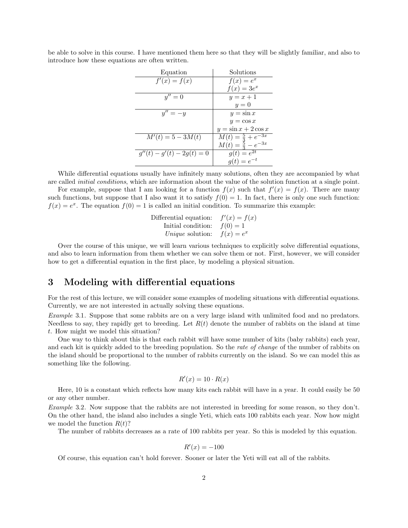be able to solve in this course. I have mentioned them here so that they will be slightly familiar, and also to introduce how these equations are often written.

| Equation                     | Solutions                                                        |
|------------------------------|------------------------------------------------------------------|
| $f'(x) = f(x)$               | $f(x) = e^x$                                                     |
|                              | $f(x) = 3e^x$                                                    |
| $y'' = 0$                    | $y=x+1$                                                          |
|                              | $y=0$                                                            |
| $y''=-y$                     | $y = \sin x$                                                     |
|                              | $y = \cos x$                                                     |
|                              | $y = \sin x + 2 \cos x$                                          |
| $M'(t) = 5 - 3M(t)$          |                                                                  |
|                              | $M(t) = \frac{5}{3} + e^{-3x}$<br>$M(t) = \frac{5}{3} - e^{-3x}$ |
| $g''(t) - g'(t) - 2g(t) = 0$ | $g(t) = e^{2t}$<br>$g(t) = e^{-t}$                               |
|                              |                                                                  |

While differential equations usually have infinitely many solutions, often they are accompanied by what are called initial conditions, which are information about the value of the solution function at a single point.

For example, suppose that I am looking for a function  $f(x)$  such that  $f'(x) = f(x)$ . There are many such functions, but suppose that I also want it to satisfy  $f(0) = 1$ . In fact, there is only one such function:  $f(x) = e^x$ . The equation  $f(0) = 1$  is called an initial condition. To summarize this example:

| Differential equation:  | $f'(x) = f(x)$ |
|-------------------------|----------------|
| Initial condition:      | $f(0) = 1$     |
| <i>Unique</i> solution: | $f(x) = e^x$   |

Over the course of this unique, we will learn various techniques to explicitly solve differential equations, and also to learn information from them whether we can solve them or not. First, however, we will consider how to get a differential equation in the first place, by modeling a physical situation.

## 3 Modeling with differential equations

For the rest of this lecture, we will consider some examples of modeling situations with differential equations. Currently, we are not interested in actually solving these equations.

Example 3.1. Suppose that some rabbits are on a very large island with unlimited food and no predators. Needless to say, they rapidly get to breeding. Let  $R(t)$  denote the number of rabbits on the island at time t. How might we model this situation?

One way to think about this is that each rabbit will have some number of kits (baby rabbits) each year, and each kit is quickly added to the breeding population. So the rate of change of the number of rabbits on the island should be proportional to the number of rabbits currently on the island. So we can model this as something like the following.

$$
R'(x) = 10 \cdot R(x)
$$

Here, 10 is a constant which reflects how many kits each rabbit will have in a year. It could easily be 50 or any other number.

Example 3.2. Now suppose that the rabbits are not interested in breeding for some reason, so they don't. On the other hand, the island also includes a single Yeti, which eats 100 rabbits each year. Now how might we model the function  $R(t)$ ?

The number of rabbits decreases as a rate of 100 rabbits per year. So this is modeled by this equation.

$$
R'(x) = -100
$$

Of course, this equation can't hold forever. Sooner or later the Yeti will eat all of the rabbits.